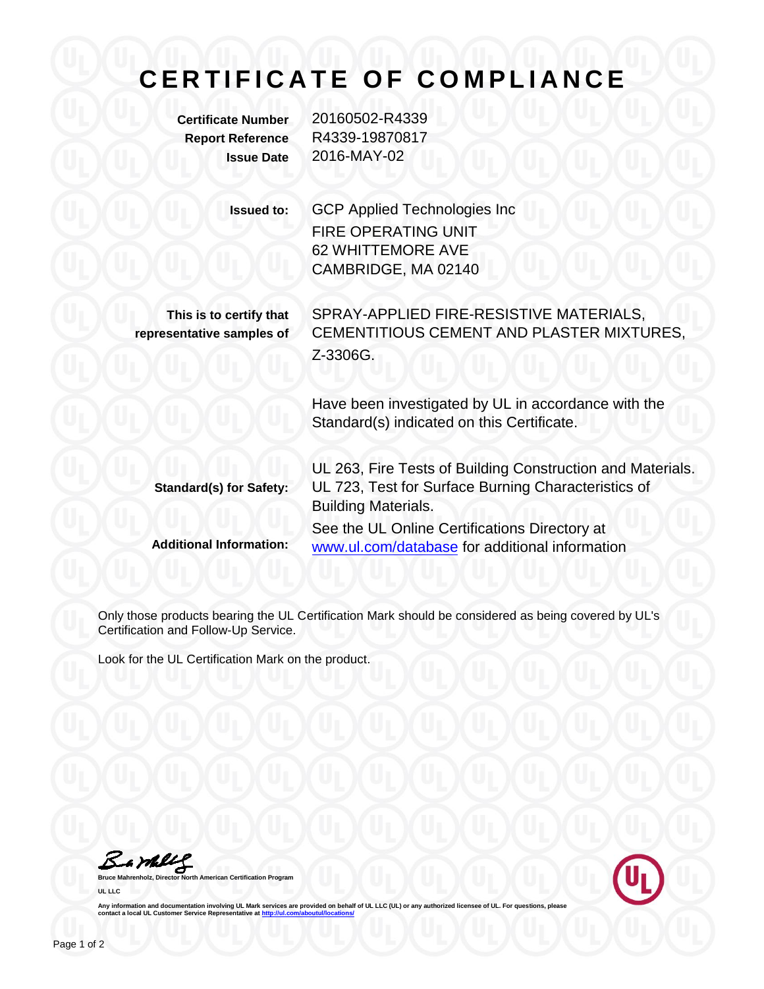## **C E R T I F I C A T E O F C O M P L I A N C E**

**Certificate Number** 20160502-R4339 **Report Reference** R4339-19870817 **Issue Date** 2016-MAY-02

> **Issued to:** GCP Applied Technologies Inc FIRE OPERATING UNIT 62 WHITTEMORE AVE CAMBRIDGE, MA 02140

**This is to certify that representative samples of** SPRAY-APPLIED FIRE-RESISTIVE MATERIALS, CEMENTITIOUS CEMENT AND PLASTER MIXTURES, Z-3306G.

Have been investigated by UL in accordance with the Standard(s) indicated on this Certificate.

**Standard(s) for Safety: Additional Information:** UL 263, Fire Tests of Building Construction and Materials. UL 723, Test for Surface Burning Characteristics of Building Materials. See the UL Online Certifications Directory at www.ul.com/database for additional information

Only those products bearing the UL Certification Mark should be considered as being covered by UL's Certification and Follow-Up Service.

Look for the UL Certification Mark on the product.

Bamblel

**Brand Certification Program UL LLC**



Any information and documentation involving UL Mark services are provided on behalf of UL LLC (UL) or any authorized licensee of UL. For questions, please<br>contact a local UL Customer Service Representative at <u>http://ul.co</u>